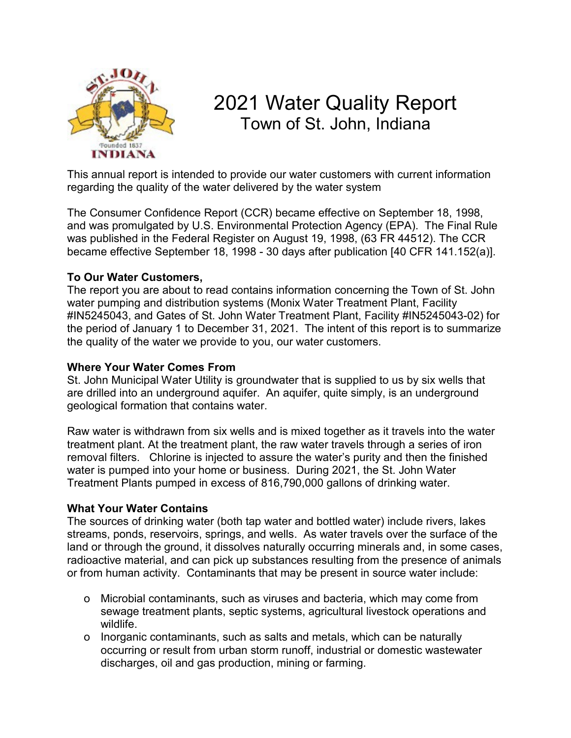

# 2021 Water Quality Report Town of St. John, Indiana

This annual report is intended to provide our water customers with current information regarding the quality of the water delivered by the water system

The Consumer Confidence Report (CCR) became effective on September 18, 1998, and was promulgated by U.S. Environmental Protection Agency (EPA). The Final Rule was published in the Federal Register on August 19, 1998, (63 FR 44512). The CCR became effective September 18, 1998 - 30 days after publication [40 CFR 141.152(a)].

### **To Our Water Customers,**

The report you are about to read contains information concerning the Town of St. John water pumping and distribution systems (Monix Water Treatment Plant, Facility #IN5245043, and Gates of St. John Water Treatment Plant, Facility #IN5245043-02) for the period of January 1 to December 31, 2021. The intent of this report is to summarize the quality of the water we provide to you, our water customers.

#### **Where Your Water Comes From**

St. John Municipal Water Utility is groundwater that is supplied to us by six wells that are drilled into an underground aquifer. An aquifer, quite simply, is an underground geological formation that contains water.

Raw water is withdrawn from six wells and is mixed together as it travels into the water treatment plant. At the treatment plant, the raw water travels through a series of iron removal filters. Chlorine is injected to assure the water's purity and then the finished water is pumped into your home or business. During 2021, the St. John Water Treatment Plants pumped in excess of 816,790,000 gallons of drinking water.

#### **What Your Water Contains**

The sources of drinking water (both tap water and bottled water) include rivers, lakes streams, ponds, reservoirs, springs, and wells. As water travels over the surface of the land or through the ground, it dissolves naturally occurring minerals and, in some cases, radioactive material, and can pick up substances resulting from the presence of animals or from human activity. Contaminants that may be present in source water include:

- o Microbial contaminants, such as viruses and bacteria, which may come from sewage treatment plants, septic systems, agricultural livestock operations and wildlife.
- o Inorganic contaminants, such as salts and metals, which can be naturally occurring or result from urban storm runoff, industrial or domestic wastewater discharges, oil and gas production, mining or farming.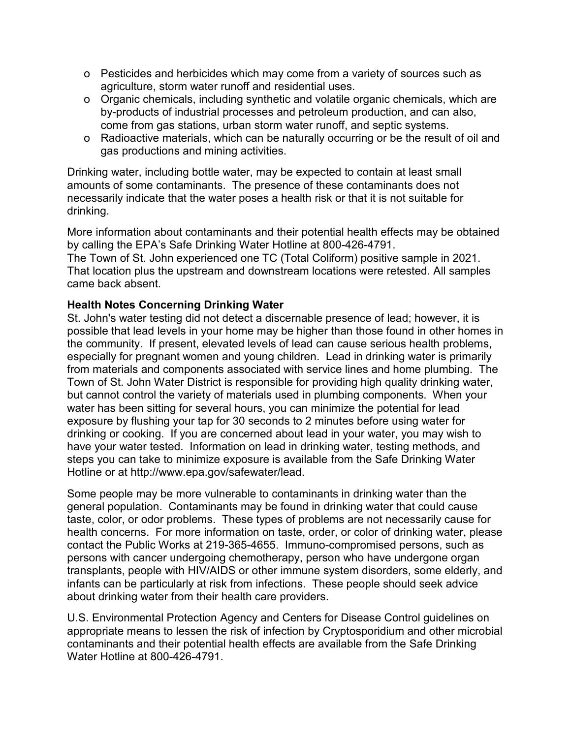- o Pesticides and herbicides which may come from a variety of sources such as agriculture, storm water runoff and residential uses.
- o Organic chemicals, including synthetic and volatile organic chemicals, which are by-products of industrial processes and petroleum production, and can also, come from gas stations, urban storm water runoff, and septic systems.
- o Radioactive materials, which can be naturally occurring or be the result of oil and gas productions and mining activities.

Drinking water, including bottle water, may be expected to contain at least small amounts of some contaminants. The presence of these contaminants does not necessarily indicate that the water poses a health risk or that it is not suitable for drinking.

More information about contaminants and their potential health effects may be obtained by calling the EPA's Safe Drinking Water Hotline at 800-426-4791. The Town of St. John experienced one TC (Total Coliform) positive sample in 2021. That location plus the upstream and downstream locations were retested. All samples came back absent.

#### **Health Notes Concerning Drinking Water**

St. John's water testing did not detect a discernable presence of lead; however, it is possible that lead levels in your home may be higher than those found in other homes in the community. If present, elevated levels of lead can cause serious health problems, especially for pregnant women and young children. Lead in drinking water is primarily from materials and components associated with service lines and home plumbing. The Town of St. John Water District is responsible for providing high quality drinking water, but cannot control the variety of materials used in plumbing components. When your water has been sitting for several hours, you can minimize the potential for lead exposure by flushing your tap for 30 seconds to 2 minutes before using water for drinking or cooking. If you are concerned about lead in your water, you may wish to have your water tested. Information on lead in drinking water, testing methods, and steps you can take to minimize exposure is available from the Safe Drinking Water Hotline or at http://www.epa.gov/safewater/lead.

Some people may be more vulnerable to contaminants in drinking water than the general population. Contaminants may be found in drinking water that could cause taste, color, or odor problems. These types of problems are not necessarily cause for health concerns. For more information on taste, order, or color of drinking water, please contact the Public Works at 219-365-4655. Immuno-compromised persons, such as persons with cancer undergoing chemotherapy, person who have undergone organ transplants, people with HIV/AIDS or other immune system disorders, some elderly, and infants can be particularly at risk from infections. These people should seek advice about drinking water from their health care providers.

U.S. Environmental Protection Agency and Centers for Disease Control guidelines on appropriate means to lessen the risk of infection by Cryptosporidium and other microbial contaminants and their potential health effects are available from the Safe Drinking Water Hotline at 800-426-4791.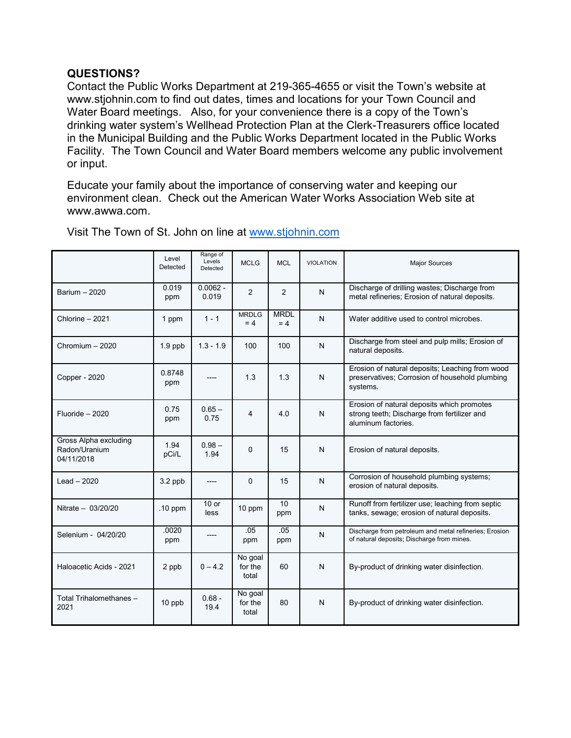#### **QUESTIONS?**

Contact the Public Works Department at 219-365-4655 or visit the Town's website at www.stjohnin.com to find out dates, times and locations for your Town Council and Water Board meetings. Also, for your convenience there is a copy of the Town's drinking water system's Wellhead Protection Plan at the Clerk-Treasurers office located in the Municipal Building and the Public Works Department located in the Public Works Facility. The Town Council and Water Board members welcome any public involvement or input.

Educate your family about the importance of conserving water and keeping our environment clean. Check out the American Water Works Association Web site at www.awwa.com.

|                                                      | Level<br>Detected | Range of<br>Levels<br>Detected | <b>MCLG</b>                 | <b>MCL</b>           | <b>VIOLATION</b> | <b>Major Sources</b>                                                                                             |
|------------------------------------------------------|-------------------|--------------------------------|-----------------------------|----------------------|------------------|------------------------------------------------------------------------------------------------------------------|
| Barium - 2020                                        | 0.019<br>ppm      | $0.0062 -$<br>0.019            | $\overline{2}$              | 2                    | N                | Discharge of drilling wastes; Discharge from<br>metal refineries; Erosion of natural deposits.                   |
| Chlorine - 2021                                      | 1 ppm             | $1 - 1$                        | <b>MRDLG</b><br>$= 4$       | <b>MRDL</b><br>$= 4$ | N                | Water additive used to control microbes.                                                                         |
| Chromium - 2020                                      | $1.9$ ppb         | $1.3 - 1.9$                    | 100                         | 100                  | N                | Discharge from steel and pulp mills; Erosion of<br>natural deposits.                                             |
| Copper - 2020                                        | 0.8748<br>ppm     |                                | 1.3                         | 1.3                  | N                | Erosion of natural deposits; Leaching from wood<br>preservatives; Corrosion of household plumbing<br>systems.    |
| Fluoride - 2020                                      | 0.75<br>ppm       | $0.65 -$<br>0.75               | 4                           | 4.0                  | N                | Erosion of natural deposits which promotes<br>strong teeth; Discharge from fertilizer and<br>aluminum factories. |
| Gross Alpha excluding<br>Radon/Uranium<br>04/11/2018 | 1.94<br>pCi/L     | $0.98 -$<br>1.94               | $\Omega$                    | 15                   | N                | Erosion of natural deposits.                                                                                     |
| $Leaf - 2020$                                        | 3.2 ppb           | ----                           | $\Omega$                    | 15                   | N                | Corrosion of household plumbing systems;<br>erosion of natural deposits.                                         |
| Nitrate $-$ 03/20/20                                 | .10 ppm           | $10$ or<br>less                | 10 ppm                      | 10<br>ppm            | N                | Runoff from fertilizer use; leaching from septic<br>tanks, sewage; erosion of natural deposits.                  |
| Selenium - 04/20/20                                  | .0020<br>ppm      |                                | .05<br>ppm                  | .05<br>ppm           | N                | Discharge from petroleum and metal refineries; Erosion<br>of natural deposits; Discharge from mines.             |
| Haloacetic Acids - 2021                              | 2 ppb             | $0 - 4.2$                      | No goal<br>for the<br>total | 60                   | N                | By-product of drinking water disinfection.                                                                       |
| Total Trihalomethanes -<br>2021                      | 10 ppb            | $0.68 -$<br>19.4               | No goal<br>for the<br>total | 80                   | N                | By-product of drinking water disinfection.                                                                       |

Visit The Town of St. John on line at [www.stjohnin.com](http://www.stjohnin.com/)